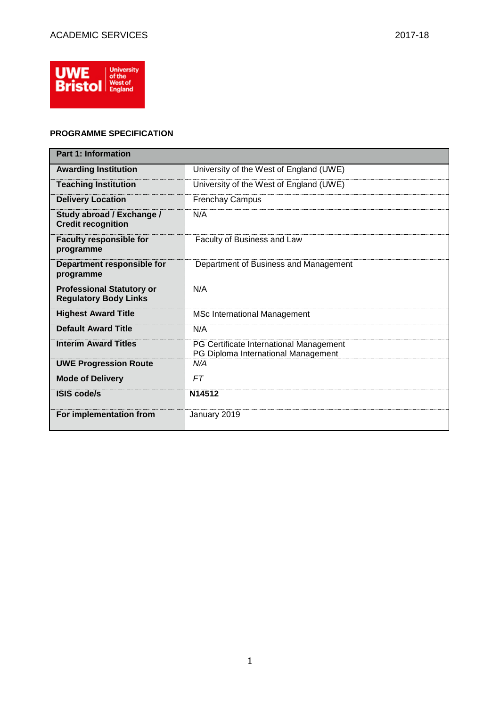

## **PROGRAMME SPECIFICATION**

| <b>Part 1: Information</b>                                       |                                                                                |  |  |  |  |  |
|------------------------------------------------------------------|--------------------------------------------------------------------------------|--|--|--|--|--|
| <b>Awarding Institution</b>                                      | University of the West of England (UWE)                                        |  |  |  |  |  |
| <b>Teaching Institution</b>                                      | University of the West of England (UWE)                                        |  |  |  |  |  |
| <b>Delivery Location</b>                                         | <b>Frenchay Campus</b>                                                         |  |  |  |  |  |
| Study abroad / Exchange /<br><b>Credit recognition</b>           | N/A                                                                            |  |  |  |  |  |
| <b>Faculty responsible for</b><br>programme                      | Faculty of Business and Law                                                    |  |  |  |  |  |
| Department responsible for<br>programme                          | Department of Business and Management                                          |  |  |  |  |  |
| <b>Professional Statutory or</b><br><b>Regulatory Body Links</b> | N/A                                                                            |  |  |  |  |  |
| <b>Highest Award Title</b>                                       | <b>MSc International Management</b>                                            |  |  |  |  |  |
| <b>Default Award Title</b>                                       | N/A                                                                            |  |  |  |  |  |
| <b>Interim Award Titles</b>                                      | PG Certificate International Management<br>PG Diploma International Management |  |  |  |  |  |
| <b>UWE Progression Route</b>                                     | N/A                                                                            |  |  |  |  |  |
| <b>Mode of Delivery</b>                                          | FT                                                                             |  |  |  |  |  |
| <b>ISIS code/s</b>                                               | N14512                                                                         |  |  |  |  |  |
| For implementation from                                          | January 2019                                                                   |  |  |  |  |  |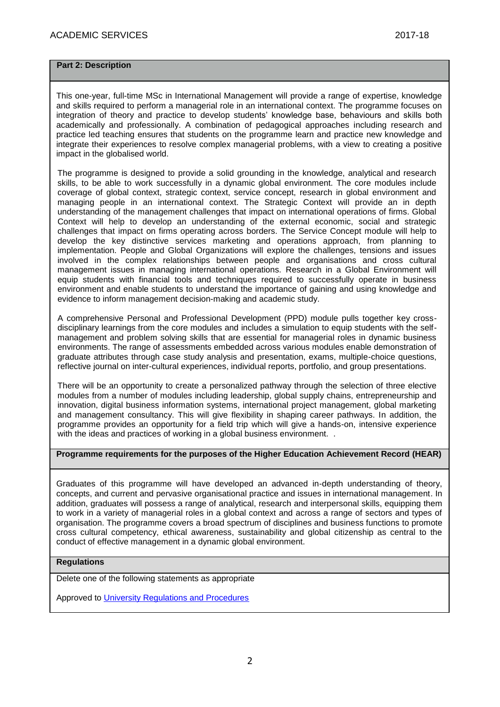## **Part 2: Description**

This one-year, full-time MSc in International Management will provide a range of expertise, knowledge and skills required to perform a managerial role in an international context. The programme focuses on integration of theory and practice to develop students' knowledge base, behaviours and skills both academically and professionally. A combination of pedagogical approaches including research and practice led teaching ensures that students on the programme learn and practice new knowledge and integrate their experiences to resolve complex managerial problems, with a view to creating a positive impact in the globalised world.

The programme is designed to provide a solid grounding in the knowledge, analytical and research skills, to be able to work successfully in a dynamic global environment. The core modules include coverage of global context, strategic context, service concept, research in global environment and managing people in an international context. The Strategic Context will provide an in depth understanding of the management challenges that impact on international operations of firms. Global Context will help to develop an understanding of the external economic, social and strategic challenges that impact on firms operating across borders. The Service Concept module will help to develop the key distinctive services marketing and operations approach, from planning to implementation. People and Global Organizations will explore the challenges, tensions and issues involved in the complex relationships between people and organisations and cross cultural management issues in managing international operations. Research in a Global Environment will equip students with financial tools and techniques required to successfully operate in business environment and enable students to understand the importance of gaining and using knowledge and evidence to inform management decision-making and academic study.

A comprehensive Personal and Professional Development (PPD) module pulls together key crossdisciplinary learnings from the core modules and includes a simulation to equip students with the selfmanagement and problem solving skills that are essential for managerial roles in dynamic business environments. The range of assessments embedded across various modules enable demonstration of graduate attributes through case study analysis and presentation, exams, multiple-choice questions, reflective journal on inter-cultural experiences, individual reports, portfolio, and group presentations.

There will be an opportunity to create a personalized pathway through the selection of three elective modules from a number of modules including leadership, global supply chains, entrepreneurship and innovation, digital business information systems, international project management, global marketing and management consultancy. This will give flexibility in shaping career pathways. In addition, the programme provides an opportunity for a field trip which will give a hands-on, intensive experience with the ideas and practices of working in a global business environment..

## **Programme requirements for the purposes of the Higher Education Achievement Record (HEAR)**

Graduates of this programme will have developed an advanced in-depth understanding of theory, concepts, and current and pervasive organisational practice and issues in international management. In addition, graduates will possess a range of analytical, research and interpersonal skills, equipping them to work in a variety of managerial roles in a global context and across a range of sectors and types of organisation. The programme covers a broad spectrum of disciplines and business functions to promote cross cultural competency, ethical awareness, sustainability and global citizenship as central to the conduct of effective management in a dynamic global environment.

## **Regulations**

Delete one of the following statements as appropriate

Approved to [University Regulations and Procedures](http://www1.uwe.ac.uk/students/academicadvice/assessments/regulationsandprocedures.aspx)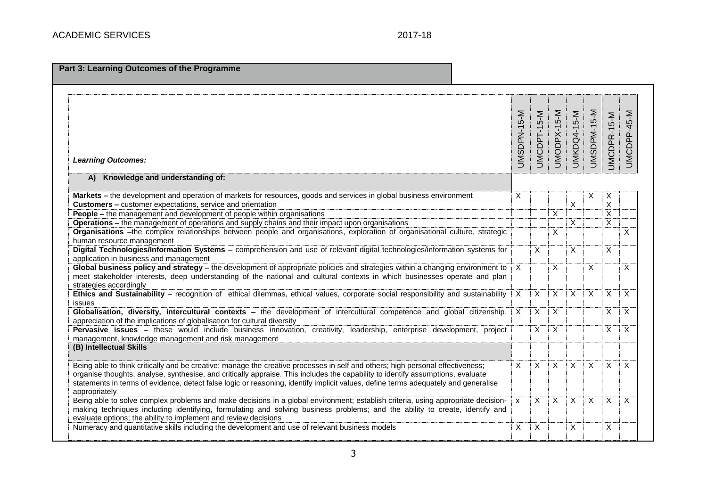| Part 3: Learning Outcomes of the Programme                                                                                                |              |              |              |                    |                |                         |              |
|-------------------------------------------------------------------------------------------------------------------------------------------|--------------|--------------|--------------|--------------------|----------------|-------------------------|--------------|
|                                                                                                                                           |              |              |              |                    |                |                         |              |
|                                                                                                                                           |              | 5-M          |              |                    |                |                         |              |
|                                                                                                                                           |              | $PT-1$       |              |                    |                |                         |              |
|                                                                                                                                           |              |              |              |                    |                |                         |              |
| <b>Learning Outcomes:</b>                                                                                                                 | UMSDPN-15-M  | <b>UMCDI</b> | UMODPX-15-M  | <b>UMKDQ4-15-M</b> | UMSDPM-15-M    | UMCDPR-15-M             | UMCDPP-45-M  |
| A) Knowledge and understanding of:                                                                                                        |              |              |              |                    |                |                         |              |
| Markets - the development and operation of markets for resources, goods and services in global business environment                       | X            |              |              |                    | X              | X                       |              |
| Customers - customer expectations, service and orientation                                                                                |              |              |              | $\overline{x}$     |                | $\overline{\mathsf{x}}$ |              |
| <b>People - the management and development of people within organisations</b>                                                             |              |              | X            |                    |                | $\overline{\mathsf{x}}$ |              |
| Operations - the management of operations and supply chains and their impact upon organisations                                           |              |              |              | X.                 |                | $\overline{x}$          |              |
| Organisations -the complex relationships between people and organisations, exploration of organisational culture, strategic               |              |              | X            |                    |                |                         | X            |
| human resource management                                                                                                                 |              |              |              |                    |                |                         |              |
| Digital Technologies/Information Systems - comprehension and use of relevant digital technologies/information systems for                 |              | X            |              | X                  |                | X                       |              |
| application in business and management                                                                                                    |              |              |              |                    |                |                         |              |
| Global business policy and strategy - the development of appropriate policies and strategies within a changing environment to             | $\mathsf{X}$ |              | X            |                    | X              |                         | $\mathsf{X}$ |
| meet stakeholder interests, deep understanding of the national and cultural contexts in which businesses operate and plan                 |              |              |              |                    |                |                         |              |
| strategies accordingly                                                                                                                    |              |              | X            | $\overline{X}$     |                |                         | X            |
| Ethics and Sustainability - recognition of ethical dilemmas, ethical values, corporate social responsibility and sustainability<br>issues | X            | X            |              |                    | X              | X                       |              |
| Globalisation, diversity, intercultural contexts - the development of intercultural competence and global citizenship,                    | $\mathsf{X}$ | X            | X            |                    |                | X                       | X            |
| appreciation of the implications of globalisation for cultural diversity                                                                  |              |              |              |                    |                |                         |              |
| Pervasive issues - these would include business innovation, creativity, leadership, enterprise development, project                       |              | X            | $\times$     |                    |                | X                       | X            |
| management, knowledge management and risk management                                                                                      |              |              |              |                    |                |                         |              |
| (B) Intellectual Skills                                                                                                                   |              |              |              |                    |                |                         |              |
| Being able to think critically and be creative: manage the creative processes in self and others; high personal effectiveness;            | X            | X            | X            | X                  | X              | X                       | $\times$     |
| organise thoughts, analyse, synthesise, and critically appraise. This includes the capability to identify assumptions, evaluate           |              |              |              |                    |                |                         |              |
| statements in terms of evidence, detect false logic or reasoning, identify implicit values, define terms adequately and generalise        |              |              |              |                    |                |                         |              |
| appropriately                                                                                                                             |              |              |              |                    |                |                         |              |
| Being able to solve complex problems and make decisions in a global environment; establish criteria, using appropriate decision-          | X            | X            | $\mathsf{X}$ | $\overline{X}$     | $\overline{X}$ | $\overline{\mathsf{x}}$ | $\times$     |
| making techniques including identifying, formulating and solving business problems; and the ability to create, identify and               |              |              |              |                    |                |                         |              |
| evaluate options; the ability to implement and review decisions                                                                           |              |              |              |                    |                |                         |              |
| Numeracy and quantitative skills including the development and use of relevant business models                                            | Χ            | Χ            |              | Χ                  |                | X                       |              |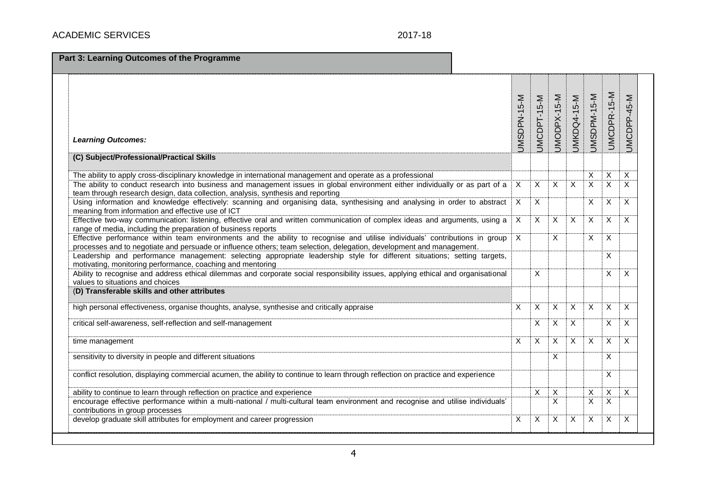| <b>Learning Outcomes:</b>                                                                                                                                                                                                                           | JMSDPN-15-M               | JMCDPT-15-M    | $5-N$<br><b>UMODPX-1</b>  | JMKDQ4-15-M    | UMSDPM-15-M             | UMCDPR-15-M               | UMCDPP-45-M |
|-----------------------------------------------------------------------------------------------------------------------------------------------------------------------------------------------------------------------------------------------------|---------------------------|----------------|---------------------------|----------------|-------------------------|---------------------------|-------------|
| (C) Subject/Professional/Practical Skills                                                                                                                                                                                                           |                           |                |                           |                |                         |                           |             |
| The ability to apply cross-disciplinary knowledge in international management and operate as a professional                                                                                                                                         |                           |                |                           |                | X                       | $\boldsymbol{\mathsf{X}}$ | X           |
| The ability to conduct research into business and management issues in global environment either individually or as part of a<br>team through research design, data collection, analysis, synthesis and reporting                                   | $\boldsymbol{\mathsf{X}}$ | $\mathsf{X}$   | X                         | $\times$       | $\overline{\mathsf{x}}$ | $\times$                  | X           |
| Using information and knowledge effectively: scanning and organising data, synthesising and analysing in order to abstract<br>meaning from information and effective use of ICT                                                                     | $\sf X$                   | $\overline{X}$ |                           |                | X                       | X                         | X           |
| Effective two-way communication: listening, effective oral and written communication of complex ideas and arguments, using a<br>range of media, including the preparation of business reports                                                       | $\overline{X}$            | X              | X                         | X              | $\overline{X}$          | $\overline{\mathsf{x}}$   | X           |
| Effective performance within team environments and the ability to recognise and utilise individuals' contributions in group<br>processes and to negotiate and persuade or influence others; team selection, delegation, development and management. | $\mathsf{X}$              |                | X                         |                | X                       | $\times$                  |             |
| Leadership and performance management: selecting appropriate leadership style for different situations; setting targets,<br>motivating, monitoring performance, coaching and mentoring                                                              |                           |                |                           |                |                         | X                         |             |
| Ability to recognise and address ethical dilemmas and corporate social responsibility issues, applying ethical and organisational<br>values to situations and choices                                                                               |                           | X              |                           |                |                         | X                         | X           |
| (D) Transferable skills and other attributes                                                                                                                                                                                                        |                           |                |                           |                |                         |                           |             |
| high personal effectiveness, organise thoughts, analyse, synthesise and critically appraise                                                                                                                                                         | X                         | X              | X                         | X              | $\overline{X}$          | $\overline{X}$            | X           |
| critical self-awareness, self-reflection and self-management                                                                                                                                                                                        |                           | X              | X                         | $\overline{X}$ |                         | X                         | X           |
| time management                                                                                                                                                                                                                                     | $\overline{X}$            | X              | X                         | $\times$       | X                       | $\overline{X}$            | X           |
| sensitivity to diversity in people and different situations                                                                                                                                                                                         |                           |                | X                         |                |                         | X                         |             |
| conflict resolution, displaying commercial acumen, the ability to continue to learn through reflection on practice and experience                                                                                                                   |                           |                |                           |                |                         | X                         |             |
| ability to continue to learn through reflection on practice and experience                                                                                                                                                                          |                           | X              | $\boldsymbol{\mathsf{X}}$ |                | X                       | $\mathsf{X}$              | $\times$    |
| encourage effective performance within a multi-national / multi-cultural team environment and recognise and utilise individuals'<br>contributions in group processes                                                                                |                           |                | X                         |                | X                       | $\times$                  |             |
| develop graduate skill attributes for employment and career progression                                                                                                                                                                             | $\mathsf{X}$              | X              | X                         | X              | $\mathsf{X}$            | $\times$                  | $\times$    |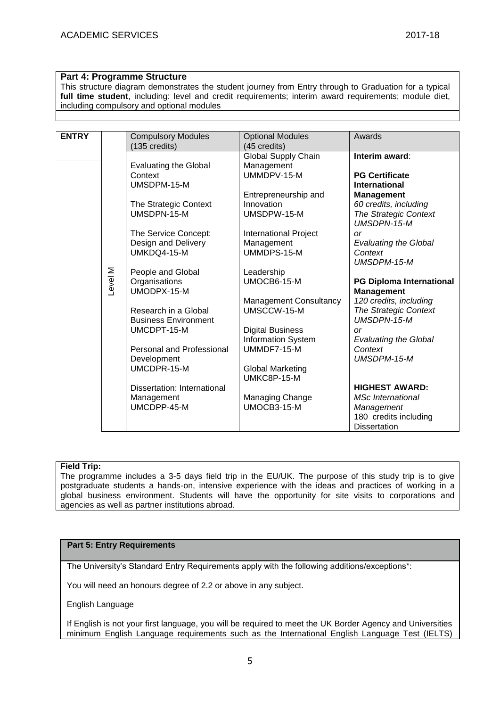## **Part 4: Programme Structure**

This structure diagram demonstrates the student journey from Entry through to Graduation for a typical **full time student**, including: level and credit requirements; interim award requirements; module diet, including compulsory and optional modules

|                             |                                                                                                                                                                                                                                                                                                | Awards                                                                                                                                                                                                                                                                                                                        |
|-----------------------------|------------------------------------------------------------------------------------------------------------------------------------------------------------------------------------------------------------------------------------------------------------------------------------------------|-------------------------------------------------------------------------------------------------------------------------------------------------------------------------------------------------------------------------------------------------------------------------------------------------------------------------------|
| (135 credits)               | (45 credits)                                                                                                                                                                                                                                                                                   |                                                                                                                                                                                                                                                                                                                               |
|                             |                                                                                                                                                                                                                                                                                                | Interim award:                                                                                                                                                                                                                                                                                                                |
|                             |                                                                                                                                                                                                                                                                                                |                                                                                                                                                                                                                                                                                                                               |
| Context                     | UMMDPV-15-M                                                                                                                                                                                                                                                                                    | <b>PG Certificate</b>                                                                                                                                                                                                                                                                                                         |
| UMSDPM-15-M                 |                                                                                                                                                                                                                                                                                                | <b>International</b>                                                                                                                                                                                                                                                                                                          |
|                             |                                                                                                                                                                                                                                                                                                | <b>Management</b>                                                                                                                                                                                                                                                                                                             |
|                             | Innovation                                                                                                                                                                                                                                                                                     | 60 credits, including                                                                                                                                                                                                                                                                                                         |
| UMSDPN-15-M                 | UMSDPW-15-M                                                                                                                                                                                                                                                                                    | The Strategic Context                                                                                                                                                                                                                                                                                                         |
|                             |                                                                                                                                                                                                                                                                                                | <b>UMSDPN-15-M</b>                                                                                                                                                                                                                                                                                                            |
|                             |                                                                                                                                                                                                                                                                                                | $\alpha$                                                                                                                                                                                                                                                                                                                      |
|                             |                                                                                                                                                                                                                                                                                                | <b>Evaluating the Global</b>                                                                                                                                                                                                                                                                                                  |
|                             |                                                                                                                                                                                                                                                                                                | Context                                                                                                                                                                                                                                                                                                                       |
|                             |                                                                                                                                                                                                                                                                                                | UMSDPM-15-M                                                                                                                                                                                                                                                                                                                   |
|                             |                                                                                                                                                                                                                                                                                                |                                                                                                                                                                                                                                                                                                                               |
|                             | UMOCB6-15-M                                                                                                                                                                                                                                                                                    | <b>PG Diploma International</b>                                                                                                                                                                                                                                                                                               |
| UMODPX-15-M                 |                                                                                                                                                                                                                                                                                                | <b>Management</b>                                                                                                                                                                                                                                                                                                             |
|                             |                                                                                                                                                                                                                                                                                                | 120 credits, including                                                                                                                                                                                                                                                                                                        |
| Research in a Global        | UMSCCW-15-M                                                                                                                                                                                                                                                                                    | <b>The Strategic Context</b>                                                                                                                                                                                                                                                                                                  |
| <b>Business Environment</b> |                                                                                                                                                                                                                                                                                                | UMSDPN-15-M                                                                                                                                                                                                                                                                                                                   |
| UMCDPT-15-M                 |                                                                                                                                                                                                                                                                                                | <b>or</b>                                                                                                                                                                                                                                                                                                                     |
|                             |                                                                                                                                                                                                                                                                                                | <b>Evaluating the Global</b>                                                                                                                                                                                                                                                                                                  |
|                             |                                                                                                                                                                                                                                                                                                | Context                                                                                                                                                                                                                                                                                                                       |
|                             |                                                                                                                                                                                                                                                                                                | UMSDPM-15-M                                                                                                                                                                                                                                                                                                                   |
|                             |                                                                                                                                                                                                                                                                                                |                                                                                                                                                                                                                                                                                                                               |
|                             |                                                                                                                                                                                                                                                                                                |                                                                                                                                                                                                                                                                                                                               |
|                             |                                                                                                                                                                                                                                                                                                | <b>HIGHEST AWARD:</b>                                                                                                                                                                                                                                                                                                         |
|                             |                                                                                                                                                                                                                                                                                                | <b>MSc International</b>                                                                                                                                                                                                                                                                                                      |
| UMCDPP-45-M                 | UMOCB3-15-M                                                                                                                                                                                                                                                                                    | Management                                                                                                                                                                                                                                                                                                                    |
|                             |                                                                                                                                                                                                                                                                                                | 180 credits including                                                                                                                                                                                                                                                                                                         |
|                             |                                                                                                                                                                                                                                                                                                | <b>Dissertation</b>                                                                                                                                                                                                                                                                                                           |
| Level M                     | <b>Compulsory Modules</b><br><b>Evaluating the Global</b><br>The Strategic Context<br>The Service Concept:<br>Design and Delivery<br>UMKDQ4-15-M<br>People and Global<br>Organisations<br>Personal and Professional<br>Development<br>UMCDPR-15-M<br>Dissertation: International<br>Management | <b>Optional Modules</b><br>Global Supply Chain<br>Management<br>Entrepreneurship and<br><b>International Project</b><br>Management<br>UMMDPS-15-M<br>Leadership<br><b>Management Consultancy</b><br><b>Digital Business</b><br>Information System<br>UMMDF7-15-M<br><b>Global Marketing</b><br>UMKC8P-15-M<br>Managing Change |

## **Field Trip:**

The programme includes a 3-5 days field trip in the EU/UK. The purpose of this study trip is to give postgraduate students a hands-on, intensive experience with the ideas and practices of working in a global business environment. Students will have the opportunity for site visits to corporations and agencies as well as partner institutions abroad.

## **Part 5: Entry Requirements**

The University's Standard Entry Requirements apply with the following additions/exceptions\*:

You will need an honours degree of 2.2 or above in any subject.

English Language

If English is not your first language, you will be required to meet the UK Border Agency and Universities minimum English Language requirements such as the International English Language Test (IELTS)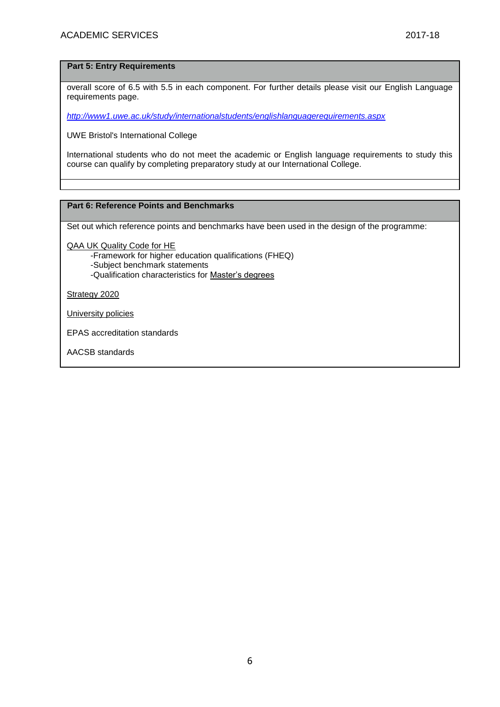### **Part 5: Entry Requirements**

overall score of 6.5 with 5.5 in each component. For further details please visit our English Language requirements page.

*<http://www1.uwe.ac.uk/study/internationalstudents/englishlanguagerequirements.aspx>*

UWE Bristol's International College

International students who do not meet the academic or English language requirements to study this course can qualify by completing preparatory study at our International College.

### **Part 6: Reference Points and Benchmarks**

Set out which reference points and benchmarks have been used in the design of the programme:

[QAA UK Quality Code for HE](http://www.qaa.ac.uk/assuringstandardsandquality/quality-code/Pages/default.aspx)

- -Framework for higher education qualifications (FHEQ)
- -Subject benchmark statements
- -Qualification characteristics for [Master's degrees](http://www.qaa.ac.uk/en/Publications/Documents/Masters-Degree-Characteristics-2010.pdf)

[Strategy 2020](http://www1.uwe.ac.uk/about/corporateinformation/strategy.aspx)

[University policies](http://www1.uwe.ac.uk/aboutus/policies)

EPAS accreditation standards

AACSB standards